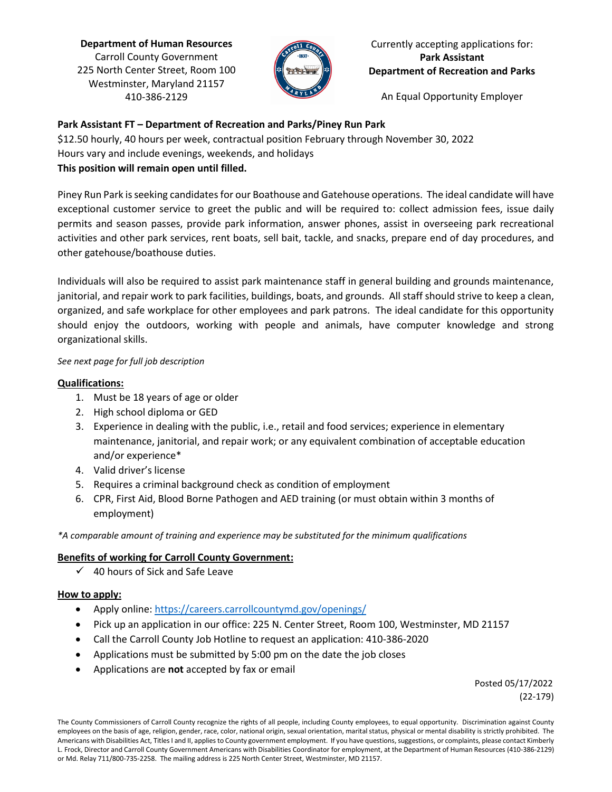**Department of Human Resources** Carroll County Government 225 North Center Street, Room 100 Westminster, Maryland 21157 410-386-2129



Currently accepting applications for: **Park Assistant Department of Recreation and Parks**

An Equal Opportunity Employer

# **Park Assistant FT – Department of Recreation and Parks/Piney Run Park**

\$12.50 hourly, 40 hours per week, contractual position February through November 30, 2022 Hours vary and include evenings, weekends, and holidays

# **This position will remain open until filled.**

Piney Run Park is seeking candidates for our Boathouse and Gatehouse operations. The ideal candidate will have exceptional customer service to greet the public and will be required to: collect admission fees, issue daily permits and season passes, provide park information, answer phones, assist in overseeing park recreational activities and other park services, rent boats, sell bait, tackle, and snacks, prepare end of day procedures, and other gatehouse/boathouse duties.

Individuals will also be required to assist park maintenance staff in general building and grounds maintenance, janitorial, and repair work to park facilities, buildings, boats, and grounds. All staff should strive to keep a clean, organized, and safe workplace for other employees and park patrons. The ideal candidate for this opportunity should enjoy the outdoors, working with people and animals, have computer knowledge and strong organizational skills.

# *See next page for full job description*

# **Qualifications:**

- 1. Must be 18 years of age or older
- 2. High school diploma or GED
- 3. Experience in dealing with the public, i.e., retail and food services; experience in elementary maintenance, janitorial, and repair work; or any equivalent combination of acceptable education and/or experience\*
- 4. Valid driver's license
- 5. Requires a criminal background check as condition of employment
- 6. CPR, First Aid, Blood Borne Pathogen and AED training (or must obtain within 3 months of employment)

*\*A comparable amount of training and experience may be substituted for the minimum qualifications*

# **Benefits of working for Carroll County Government:**

 $\checkmark$  40 hours of Sick and Safe Leave

# **How to apply:**

- Apply online:<https://careers.carrollcountymd.gov/openings/>
- Pick up an application in our office: 225 N. Center Street, Room 100, Westminster, MD 21157
- Call the Carroll County Job Hotline to request an application: 410-386-2020
- Applications must be submitted by 5:00 pm on the date the job closes
- Applications are **not** accepted by fax or email

 Posted 05/17/2022 (22-179)

The County Commissioners of Carroll County recognize the rights of all people, including County employees, to equal opportunity. Discrimination against County employees on the basis of age, religion, gender, race, color, national origin, sexual orientation, marital status, physical or mental disability is strictly prohibited. The Americans with Disabilities Act, Titles I and II, applies to County government employment. If you have questions, suggestions, or complaints, please contact Kimberly L. Frock, Director and Carroll County Government Americans with Disabilities Coordinator for employment, at the Department of Human Resources (410-386-2129) or Md. Relay 711/800-735-2258. The mailing address is 225 North Center Street, Westminster, MD 21157.